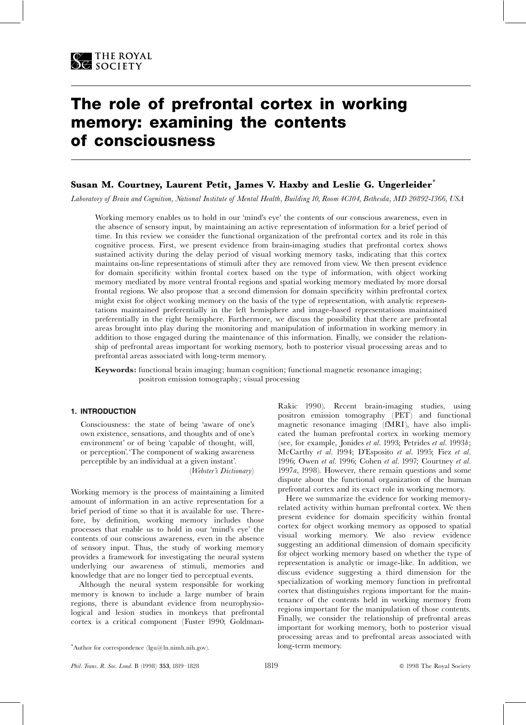# The role of prefrontal cortex in working memory: examining the contents of consciousness

## Susan M. Courtney, Laurent Petit, James V. Haxby and Leslie G. Ungerleider<sup>\*</sup>

Laboratory of Brain and Cognition, National Institute of Mental Health, Building 10, Room 4C104, Bethesda, MD 20892-1366, USA

Working memory enables us to hold in our 'mind's eve' the contents of our conscious awareness, even in the absence of sensory input, by maintaining an active representation of information for a brief period of time. In this review we consider the functional organization of the prefrontal cortex and its role in this cognitive process. First, we present evidence from brain-imaging studies that prefrontal cortex shows sustained activity during the delay period of visual working memory tasks, indicating that this cortex maintains on-line representations of stimuli after they are removed from view. We then present evidence for domain specificity within frontal cortex based on the type of information, with object working memory mediated by more ventral frontal regions and spatial working memory mediated by more dorsal frontal regions. We also propose that a second dimension for domain specificity within prefrontal cortex might exist for object working memory on the basis of the type of representation, with analytic representations maintained preferentially in the left hemisphere and image-based representations maintained preferentially in the right hemisphere. Furthermore, we discuss the possibility that there are prefrontal areas brought into play during the monitoring and manipulation of information in working memory in addition to those engaged during the maintenance of this information. Finally, we consider the relationship of prefrontal areas important for working memory, both to posterior visual processing areas and to prefrontal areas associated with long-term memory.

**Keywords:** functional brain imaging; human cognition; functional magnetic resonance imaging; positron emission tomography; visual processing

## 1. INTRODUCTION

Consciousness: the state of being 'aware of one's own existence, sensations, and thoughts and of one's environment' or of being 'capable of thought, will, or perception'. The component of waking awareness perceptible by an individual at a given instant'.

 $(Webster's Dictionary)$ 

Working memory is the process of maintaining a limited amount of information in an active representation for a brief period of time so that it is available for use. Therefore, by definition, working memory includes those processes that enable us to hold in our 'mind's eye' the contents of our conscious awareness, even in the absence of sensory input. Thus, the study of working memory provides a framework for investigating the neural system underlying our awareness of stimuli, memories and knowledge that are no longer tied to perceptual events.

Although the neural system responsible for working memory is known to include a large number of brain regions, there is abundant evidence from neurophysiological and lesion studies in monkeys that prefrontal cortex is a critical component (Fuster 1990; Goldman-

Here we summarize the evidence for working memoryrelated activity within human prefrontal cortex. We then present evidence for domain specificity within frontal cortex for object working memory as opposed to spatial visual working memory. We also review evidence suggesting an additional dimension of domain specificity for object working memory based on whether the type of representation is analytic or image-like. In addition, we discuss evidence suggesting a third dimension for the specialization of working memory function in prefrontal cortex that distinguishes regions important for the maintenance of the contents held in working memory from regions important for the manipulation of those contents. Finally, we consider the relationship of prefrontal areas important for working memory, both to posterior visual processing areas and to prefrontal areas associated with long-term memory.

Rakic 1990). Recent brain-imaging studies, using positron emission tomography (PET) and functional magnetic resonance imaging (fMRI), have also implicated the human prefrontal cortex in working memory (see, for example, Jonides et al. 1993; Petrides et al. 1993b; McCarthy et al. 1994; D'Esposito et al. 1995; Fiez et al. 1996; Owen et al. 1996; Cohen et al. 1997; Courtney et al. 1997a, 1998). However, there remain questions and some dispute about the functional organization of the human prefrontal cortex and its exact role in working memory.

<sup>\*</sup>Author for correspondence  $(lgu@ln.nimh.nih.gov)$ .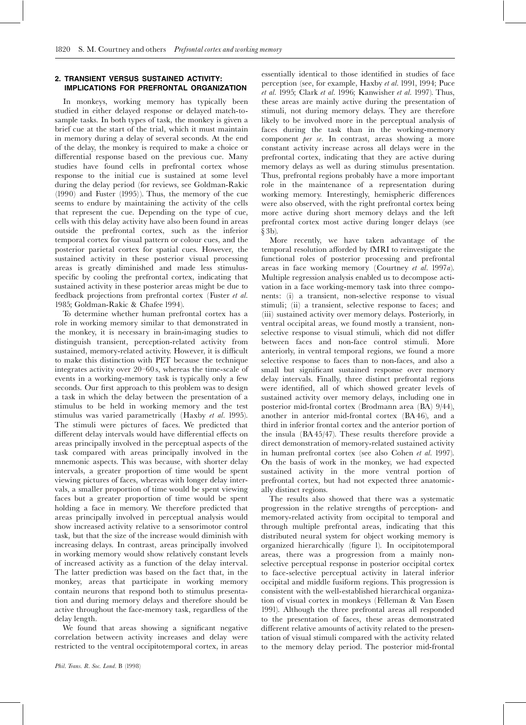## 2. TRANSIENT VERSUS SUSTAINED ACTIVITY: IMPLICATIONS FOR PREFRONTAL ORGANIZATION

In monkeys, working memory has typically been studied in either delayed response or delayed match-tosample tasks. In both types of task, the monkey is given a brief cue at the start of the trial, which it must maintain in memory during a delay of several seconds. At the end of the delay, the monkey is required to make a choice or differential response based on the previous cue. Many studies have found cells in prefrontal cortex whose response to the initial cue is sustained at some level during the delay period (for reviews, see Goldman-Rakic  $(1990)$  and Fuster  $(1995)$ ). Thus, the memory of the cue seems to endure by maintaining the activity of the cells that represent the cue. Depending on the type of cue, cells with this delay activity have also been found in areas outside the prefrontal cortex, such as the inferior temporal cortex for visual pattern or colour cues, and the posterior parietal cortex for spatial cues. However, the sustained activity in these posterior visual processing areas is greatly diminished and made less stimulusspecific by cooling the prefrontal cortex, indicating that sustained activity in these posterior areas might be due to feedback projections from prefrontal cortex (Fuster et al. 1985; Goldman-Rakic & Chafee 1994).

To determine whether human prefrontal cortex has a role in working memory similar to that demonstrated in the monkey, it is necessary in brain-imaging studies to distinguish transient, perception-related activity from sustained, memory-related activity. However, it is difficult to make this distinction with PET because the technique integrates activity over 20–60 s, whereas the time-scale of events in a working-memory task is typically only a few seconds. Our first approach to this problem was to design a task in which the delay between the presentation of a stimulus to be held in working memory and the test stimulus was varied parametrically (Haxby et al. 1995). The stimuli were pictures of faces. We predicted that different delay intervals would have differential effects on areas principally involved in the perceptual aspects of the task compared with areas principally involved in the mnemonic aspects. This was because, with shorter delay intervals, a greater proportion of time would be spent viewing pictures of faces, whereas with longer delay intervals, a smaller proportion of time would be spent viewing faces but a greater proportion of time would be spent holding a face in memory. We therefore predicted that areas principally involved in perceptual analysis would show increased activity relative to a sensorimotor control task, but that the size of the increase would diminish with increasing delays. In contrast, areas principally involved in working memory would show relatively constant levels of increased activity as a function of the delay interval. The latter prediction was based on the fact that, in the monkey, areas that participate in working memory contain neurons that respond both to stimulus presentation and during memory delays and therefore should be active throughout the face-memory task, regardless of the delay length.

We found that areas showing a significant negative correlation between activity increases and delay were restricted to the ventral occipitotemporal cortex, in areas

essentially identical to those identified in studies of face perception (see, for example, Haxby et al. 1991, 1994; Puce et al. 1995; Clark et al. 1996; Kanwisher et al. 1997). Thus, these areas are mainly active during the presentation of stimuli, not during memory delays. They are therefore likely to be involved more in the perceptual analysis of faces during the task than in the working-memory component per se. In contrast, areas showing a more constant activity increase across all delays were in the prefrontal cortex, indicating that they are active during memory delays as well as during stimulus presentation. Thus, prefrontal regions probably have a more important role in the maintenance of a representation during working memory. Interestingly, hemispheric differences were also observed, with the right prefrontal cortex being more active during short memory delays and the left prefrontal cortex most active during longer delays (see  $§ 3b).$ 

More recently, we have taken advantage of the temporal resolution afforded by fMRI to reinvestigate the functional roles of posterior processing and prefrontal areas in face working memory (Courtney et al. 1997a). Multiple regression analysis enabled us to decompose activation in a face working-memory task into three components: (i) a transient, non-selective response to visual stimuli; (ii) a transient, selective response to faces; and (iii) sustained activity over memory delays. Posteriorly, in ventral occipital areas, we found mostly a transient, nonselective response to visual stimuli, which did not differ between faces and non-face control stimuli. More anteriorly, in ventral temporal regions, we found a more selective response to faces than to non-faces, and also a small but significant sustained response over memory delay intervals. Finally, three distinct prefrontal regions were identified, all of which showed greater levels of sustained activity over memory delays, including one in posterior mid-frontal cortex (Brodmann area (BA) 9/44), another in anterior mid-frontal cortex (BA46), and a third in inferior frontal cortex and the anterior portion of the insula  $(BA 45/47)$ . These results therefore provide a direct demonstration of memory-related sustained activity in human prefrontal cortex (see also Cohen et al. 1997). On the basis of work in the monkey, we had expected sustained activity in the more ventral portion of prefrontal cortex, but had not expected three anatomically distinct regions.

The results also showed that there was a systematic progression in the relative strengths of perception- and memory-related activity from occipital to temporal and through multiple prefrontal areas, indicating that this distributed neural system for object working memory is organized hierarchically (figure 1). In occipitotemporal areas, there was a progression from a mainly nonselective perceptual response in posterior occipital cortex to face-selective perceptual activity in lateral inferior occipital and middle fusiform regions. This progression is consistent with the well-established hierarchical organization of visual cortex in monkeys (Felleman & Van Essen 1991). Although the three prefrontal areas all responded to the presentation of faces, these areas demonstrated different relative amounts of activity related to the presentation of visual stimuli compared with the activity related to the memory delay period. The posterior mid-frontal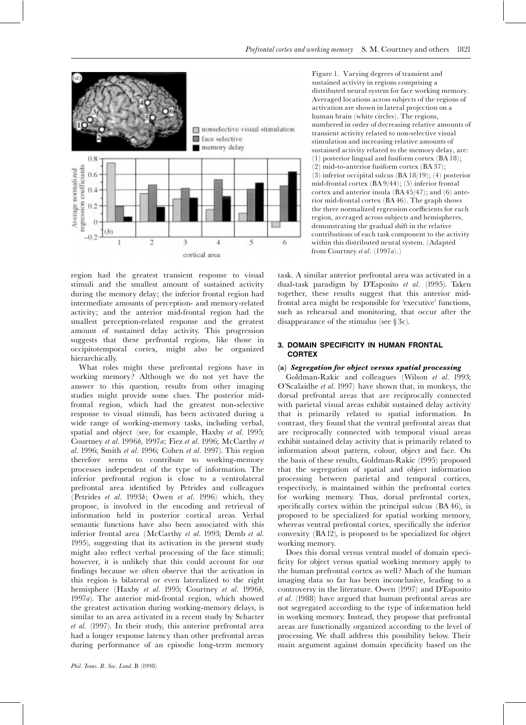

region had the greatest transient response to visual stimuli and the smallest amount of sustained activity during the memory delay; the inferior frontal region had intermediate amounts of perception- and memory-related activity; and the anterior mid-frontal region had the smallest perception-related response and the greatest amount of sustained delay activity. This progression suggests that these prefrontal regions, like those in occipitotemporal cortex, might also be organized hierarchically.

What roles might these prefrontal regions have in working memory? Although we do not yet have the answer to this question, results from other imaging studies might provide some clues. The posterior midfrontal region, which had the greatest non-selective response to visual stimuli, has been activated during a wide range of working-memory tasks, including verbal, spatial and object (see, for example, Haxby et al. 1995; Courtney et al. 1996b, 1997a; Fiez et al. 1996; McCarthy et al. 1996; Smith et al. 1996; Cohen et al. 1997). This region therefore seems to contribute to working-memory processes independent of the type of information. The inferior prefrontal region is close to a ventrolateral prefrontal area identified by Petrides and colleagues (Petrides et al. 1993b; Owen et al. 1996) which, they propose, is involved in the encoding and retrieval of information held in posterior cortical areas. Verbal semantic functions have also been associated with this inferior frontal area (McCarthy et al. 1993; Demb et al. 1995), suggesting that its activation in the present study might also reflect verbal processing of the face stimuli; however, it is unlikely that this could account for our findings because we often observe that the activation in this region is bilateral or even lateralized to the right hemisphere (Haxby et al. 1995; Courtney et al. 1996b, 1997a). The anterior mid-frontal region, which showed the greatest activation during working-memory delays, is similar to an area activated in a recent study by Schacter et al. (1997). In their study, this anterior prefrontal area had a longer response latency than other prefrontal areas during performance of an episodic long-term memory

Figure 1. Varying degrees of transient and sustained activity in regions comprising a distributed neural system for face working memory. Averaged locations across subjects of the regions of activation are shown in lateral projection on a human brain (white circles). The regions, numbered in order of decreasing relative amounts of transient activity related to non-selective visual stimulation and increasing relative amounts of sustained activity related to the memory delay, are:  $(1)$  posterior lingual and fusiform cortex (BA 18);  $(2)$  mid-to-anterior fusiform cortex (BA 37);  $(3)$  inferior occipital sulcus (BA 18/19); (4) posterior mid-frontal cortex (BA 9/44); (5) inferior frontal cortex and anterior insula  $(BA 45/47)$ ; and  $(6)$  anterior mid-frontal cortex (BA 46). The graph shows the three normalized regression coefficients for each region, averaged across subjects and hemispheres, demonstrating the gradual shift in the relative contributions of each task component to the activity within this distributed neural system. (Adapted from Courtney et al.  $(1997a)$ .)

task. A similar anterior prefrontal area was activated in a dual-task paradigm by D'Esposito et al. (1995). Taken together, these results suggest that this anterior midfrontal area might be responsible for 'executive' functions, such as rehearsal and monitoring, that occur after the disappearance of the stimulus (see  $\S 3c$ ).

### 3. DOMAIN SPECIFICITY IN HUMAN FRONTAL **CORTEX**

#### (a) Segregation for object versus spatial processing

Goldman-Rakic and colleagues (Wilson et al. 1993; O'Scalaidhe et al. 1997) have shown that, in monkeys, the dorsal prefrontal areas that are reciprocally connected with parietal visual areas exhibit sustained delay activity that is primarily related to spatial information. In contrast, they found that the ventral prefrontal areas that are reciprocally connected with temporal visual areas exhibit sustained delay activity that is primarily related to information about pattern, colour, object and face. On the basis of these results, Goldman-Rakic (1995) proposed that the segregation of spatial and object information processing between parietal and temporal cortices, respectively, is maintained within the prefrontal cortex for working memory. Thus, dorsal prefrontal cortex, specifically cortex within the principal sulcus (BA46), is proposed to be specialized for spatial working memory, whereas ventral prefrontal cortex, specifically the inferior convexity (BA12), is proposed to be specialized for object working memory.

Does this dorsal versus ventral model of domain specificity for object versus spatial working memory apply to the human prefrontal cortex as well? Much of the human imaging data so far has been inconclusive, leading to a controversy in the literature. Owen (1997) and D'Esposito et al. (1988) have argued that human prefrontal areas are not segregated according to the type of information held in working memory. Instead, they propose that prefrontal areas are functionally organized according to the level of processing. We shall address this possibility below. Their main argument against domain specificity based on the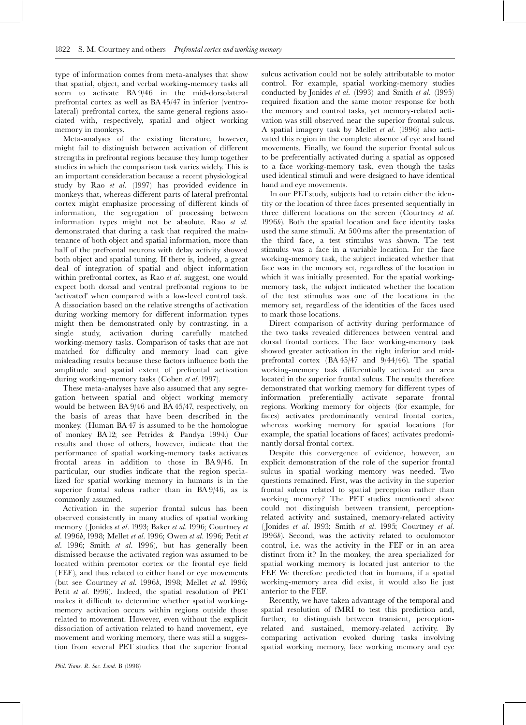type of information comes from meta-analyses that show that spatial, object, and verbal working-memory tasks all seem to activate BA9/46 in the mid-dorsolateral prefrontal cortex as well as BA 45/47 in inferior (ventrolateral) prefrontal cortex, the same general regions associated with, respectively, spatial and object working memory in monkeys.

Meta-analyses of the existing literature, however, might fail to distinguish between activation of different strengths in prefrontal regions because they lump together studies in which the comparison task varies widely. This is an important consideration because a recent physiological study by Rao et al. (1997) has provided evidence in monkeys that, whereas different parts of lateral prefrontal cortex might emphasize processing of different kinds of information, the segregation of processing between information types might not be absolute. Rao et al. demonstrated that during a task that required the maintenance of both object and spatial information, more than half of the prefrontal neurons with delay activity showed both object and spatial tuning. If there is, indeed, a great deal of integration of spatial and object information within prefrontal cortex, as Rao et al. suggest, one would expect both dorsal and ventral prefrontal regions to be 'activated' when compared with a low-level control task. A dissociation based on the relative strengths of activation during working memory for different information types might then be demonstrated only by contrasting, in a single study, activation during carefully matched working-memory tasks. Comparison of tasks that are not matched for difficulty and memory load can give misleading results because these factors influence both the amplitude and spatial extent of prefrontal activation during working-memory tasks (Cohen et al. 1997).

These meta-analyses have also assumed that any segregation between spatial and object working memory would be between BA 9/46 and BA 45/47, respectively, on the basis of areas that have been described in the monkey. (Human BA47 is assumed to be the homologue of monkey BA12; see Petrides & Pandya 1994.) Our results and those of others, however, indicate that the performance of spatial working-memory tasks activates frontal areas in addition to those in BA 9/46. In particular, our studies indicate that the region specialized for spatial working memory in humans is in the superior frontal sulcus rather than in BA 9/46, as is commonly assumed.

Activation in the superior frontal sulcus has been observed consistently in many studies of spatial working memory (Jonides et al. 1993; Baker et al. 1996; Courtney et al. 1996b, 1998; Mellet et al. 1996; Owen et al. 1996; Petit et al. 1996; Smith et al. 1996), but has generally been dismissed because the activated region was assumed to be located within premotor cortex or the frontal eye field (FEF), and thus related to either hand or eye movements (but see Courtney et al. 1996b, 1998; Mellet et al. 1996; Petit et al. 1996). Indeed, the spatial resolution of PET makes it difficult to determine whether spatial workingmemory activation occurs within regions outside those related to movement. However, even without the explicit dissociation of activation related to hand movement, eye movement and working memory, there was still a suggestion from several PET studies that the superior frontal sulcus activation could not be solely attributable to motor control. For example, spatial working-memory studies conducted by Jonides et al. (1993) and Smith et al. (1995) required fixation and the same motor response for both the memory and control tasks, yet memory-related activation was still observed near the superior frontal sulcus. A spatial imagery task by Mellet et al. (1996) also activated this region in the complete absence of eye and hand movements. Finally, we found the superior frontal sulcus to be preferentially activated during a spatial as opposed to a face working-memory task, even though the tasks used identical stimuli and were designed to have identical hand and eye movements.

In our PET study, subjects had to retain either the identity or the location of three faces presented sequentially in three different locations on the screen (Courtney et al. 1996b). Both the spatial location and face identity tasks used the same stimuli. At 500 ms after the presentation of the third face, a test stimulus was shown. The test stimulus was a face in a variable location. For the face working-memory task, the subject indicated whether that face was in the memory set, regardless of the location in which it was initially presented. For the spatial workingmemory task, the subject indicated whether the location of the test stimulus was one of the locations in the memory set, regardless of the identities of the faces used to mark those locations.

Direct comparison of activity during performance of the two tasks revealed differences between ventral and dorsal frontal cortices. The face working-memory task showed greater activation in the right inferior and midprefrontal cortex (BA 45/47 and 9/44/46). The spatial working-memory task differentially activated an area located in the superior frontal sulcus. The results therefore demonstrated that working memory for different types of information preferentially activate separate frontal regions. Working memory for objects (for example, for faces) activates predominantly ventral frontal cortex, whereas working memory for spatial locations (for example, the spatial locations of faces) activates predominantly dorsal frontal cortex.

Despite this convergence of evidence, however, an explicit demonstration of the role of the superior frontal sulcus in spatial working memory was needed. Two questions remained. First, was the activity in the superior frontal sulcus related to spatial perception rather than working memory? The PET studies mentioned above could not distinguish between transient, perceptionrelated activity and sustained, memory-related activity (Jonides et al. 1993; Smith et al. 1995; Courtney et al. 1996b). Second, was the activity related to oculomotor control, i.e. was the activity in the FEF or in an area distinct from it? In the monkey, the area specialized for spatial working memory is located just anterior to the FEF. We therefore predicted that in humans, if a spatial working-memory area did exist, it would also lie just anterior to the FEF.

Recently, we have taken advantage of the temporal and spatial resolution of fMRI to test this prediction and, further, to distinguish between transient, perceptionrelated and sustained, memory-related activity. By comparing activation evoked during tasks involving spatial working memory, face working memory and eye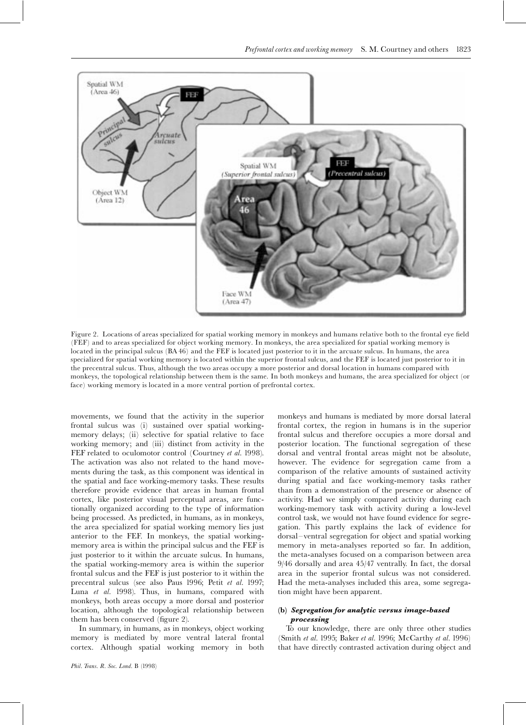

Figure 2. Locations of areas specialized for spatial working memory in monkeys and humans relative both to the frontal eye field (FEF) and to areas specialized for object working memory. In monkeys, the area specialized for spatial working memory is located in the principal sulcus (BA46) and the FEF is located just posterior to it in the arcuate sulcus. In humans, the area specialized for spatial working memory is located within the superior frontal sulcus, and the FEF is located just posterior to it in the precentral sulcus. Thus, although the two areas occupy a more posterior and dorsal location in humans compared with monkeys, the topological relationship between them is the same. In both monkeys and humans, the area specialized for object (or face) working memory is located in a more ventral portion of prefrontal cortex.

movements, we found that the activity in the superior frontal sulcus was (i) sustained over spatial workingmemory delays; (ii) selective for spatial relative to face working memory; and (iii) distinct from activity in the FEF related to oculomotor control (Courtney et al. 1998). The activation was also not related to the hand movements during the task, as this component was identical in the spatial and face working-memory tasks. These results therefore provide evidence that areas in human frontal cortex, like posterior visual perceptual areas, are functionally organized according to the type of information being processed. As predicted, in humans, as in monkeys, the area specialized for spatial working memory lies just anterior to the FEF. In monkeys, the spatial workingmemory area is within the principal sulcus and the FEF is just posterior to it within the arcuate sulcus. In humans, the spatial working-memory area is within the superior frontal sulcus and the FEF is just posterior to it within the precentral sulcus (see also Paus 1996; Petit et al. 1997; Luna et al. 1998). Thus, in humans, compared with monkeys, both areas occupy a more dorsal and posterior location, although the topological relationship between them has been conserved (figure 2).

In summary, in humans, as in monkeys, object working memory is mediated by more ventral lateral frontal cortex. Although spatial working memory in both

monkeys and humans is mediated by more dorsal lateral frontal cortex, the region in humans is in the superior frontal sulcus and therefore occupies a more dorsal and posterior location. The functional segregation of these dorsal and ventral frontal areas might not be absolute, however. The evidence for segregation came from a comparison of the relative amounts of sustained activity during spatial and face working-memory tasks rather than from a demonstration of the presence or absence of activity. Had we simply compared activity during each working-memory task with activity during a low-level control task, we would not have found evidence for segregation. This partly explains the lack of evidence for dorsal-ventral segregation for object and spatial working memory in meta-analyses reported so far. In addition, the meta-analyses focused on a comparison between area  $9/46$  dorsally and area  $45/47$  ventrally. In fact, the dorsal area in the superior frontal sulcus was not considered. Had the meta-analyses included this area, some segregation might have been apparent.

#### (b) Segregation for analytic versus image-based processing

To our knowledge, there are only three other studies (Smith et al. 1995; Baker et al. 1996; McCarthy et al. 1996) that have directly contrasted activation during object and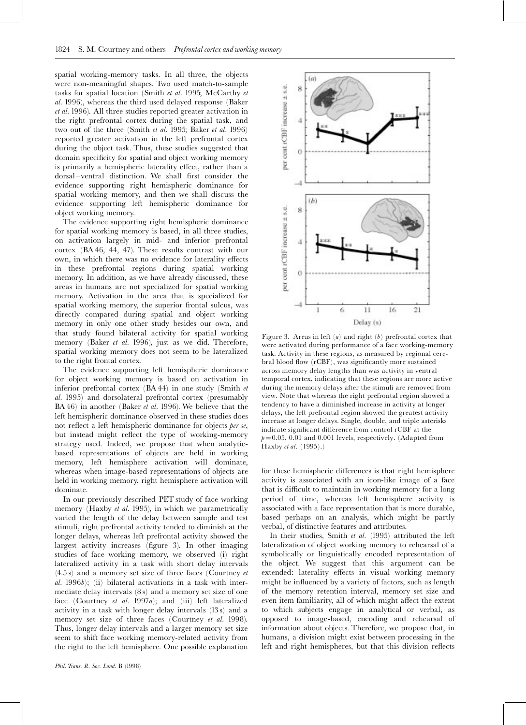spatial working-memory tasks. In all three, the objects were non-meaningful shapes. Two used match-to-sample tasks for spatial location (Smith et al. 1995; McCarthy et al. 1996), whereas the third used delayed response (Baker et al. 1996). All three studies reported greater activation in the right prefrontal cortex during the spatial task, and two out of the three (Smith et al. 1995; Baker et al. 1996) reported greater activation in the left prefrontal cortex during the object task. Thus, these studies suggested that domain specificity for spatial and object working memory is primarily a hemispheric laterality effect, rather than a dorsal-ventral distinction. We shall first consider the evidence supporting right hemispheric dominance for spatial working memory, and then we shall discuss the evidence supporting left hemispheric dominance for object working memory.

The evidence supporting right hemispheric dominance for spatial working memory is based, in all three studies, on activation largely in mid- and inferior prefrontal cortex (BA 46, 44, 47). These results contrast with our own, in which there was no evidence for laterality effects in these prefrontal regions during spatial working memory. In addition, as we have already discussed, these areas in humans are not specialized for spatial working memory. Activation in the area that is specialized for spatial working memory, the superior frontal sulcus, was directly compared during spatial and object working memory in only one other study besides our own, and that study found bilateral activity for spatial working memory (Baker et al. 1996), just as we did. Therefore, spatial working memory does not seem to be lateralized to the right frontal cortex.

The evidence supporting left hemispheric dominance for object working memory is based on activation in inferior prefrontal cortex (BA 44) in one study (Smith et al. 1995) and dorsolateral prefrontal cortex (presumably BA 46) in another (Baker et al. 1996). We believe that the left hemispheric dominance observed in these studies does not reflect a left hemispheric dominance for objects per se, but instead might reflect the type of working-memory strategy used. Indeed, we propose that when analyticbased representations of objects are held in working memory, left hemisphere activation will dominate, whereas when image-based representations of objects are held in working memory, right hemisphere activation will dominate.

In our previously described PET study of face working memory (Haxby et al. 1995), in which we parametrically varied the length of the delay between sample and test stimuli, right prefrontal activity tended to diminish at the longer delays, whereas left prefrontal activity showed the largest activity increases (figure 3). In other imaging studies of face working memory, we observed (i) right lateralized activity in a task with short delay intervals  $(4.5 s)$  and a memory set size of three faces (Courtney et al. 1996b); (ii) bilateral activations in a task with intermediate delay intervals (8 s) and a memory set size of one face (Courtney et al. 1997a); and (iii) left lateralized activity in a task with longer delay intervals (13s) and a memory set size of three faces (Courtney et al. 1998). Thus, longer delay intervals and a larger memory set size seem to shift face working memory-related activity from the right to the left hemisphere. One possible explanation



Figure 3. Areas in left  $(a)$  and right  $(b)$  prefrontal cortex that were activated during performance of a face working-memory task. Activity in these regions, as measured by regional cerebral blood flow (rCBF), was significantly more sustained across memory delay lengths than was activity in ventral temporal cortex, indicating that these regions are more active during the memory delays after the stimuli are removed from view. Note that whereas the right prefrontal region showed a tendency to have a diminished increase in activity at longer delays, the left prefrontal region showed the greatest activity increase at longer delays. Single, double, and triple asterisks indicate significant difference from control rCBF at the  $p=0.05, 0.01$  and 0.001 levels, respectively. (Adapted from Haxby et al. (1995).)

for these hemispheric differences is that right hemisphere activity is associated with an icon-like image of a face that is difficult to maintain in working memory for a long period of time, whereas left hemisphere activity is associated with a face representation that is more durable, based perhaps on an analysis, which might be partly verbal, of distinctive features and attributes.

In their studies, Smith et al. (1995) attributed the left lateralization of object working memory to rehearsal of a symbolically or linguistically encoded representation of the object. We suggest that this argument can be extended: laterality effects in visual working memory might be influenced by a variety of factors, such as length of the memory retention interval, memory set size and even item familiarity, all of which might affect the extent to which subjects engage in analytical or verbal, as opposed to image-based, encoding and rehearsal of information about objects. Therefore, we propose that, in humans, a division might exist between processing in the left and right hemispheres, but that this division reflects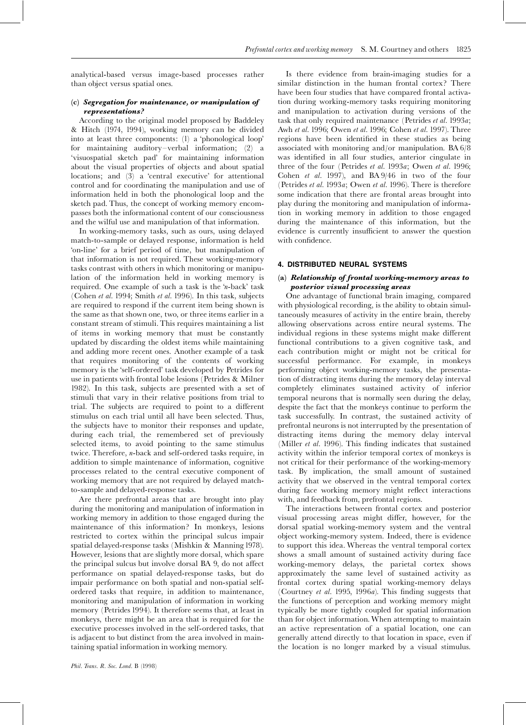analytical-based versus image-based processes rather than object versus spatial ones.

## (c) Segregation for maintenance, or manipulation of representations?

According to the original model proposed by Baddeley & Hitch (1974, 1994), working memory can be divided into at least three components: (1) a 'phonological loop' for maintaining auditory-verbal information; (2) a 'visuospatial sketch pad' for maintaining information about the visual properties of objects and about spatial locations; and (3) a 'central executive' for attentional control and for coordinating the manipulation and use of information held in both the phonological loop and the sketch pad. Thus, the concept of working memory encompasses both the informational content of our consciousness and the wilful use and manipulation of that information.

In working-memory tasks, such as ours, using delayed match-to-sample or delayed response, information is held 'on-line' for a brief period of time, but manipulation of that information is not required. These working-memory tasks contrast with others in which monitoring or manipulation of the information held in working memory is required. One example of such a task is the 'n-back' task (Cohen et al. 1994; Smith et al. 1996). In this task, subjects are required to respond if the current item being shown is the same as that shown one, two, or three items earlier in a constant stream of stimuli. This requires maintaining a list of items in working memory that must be constantly updated by discarding the oldest items while maintaining and adding more recent ones. Another example of a task that requires monitoring of the contents of working memory is the 'self-ordered' task developed by Petrides for use in patients with frontal lobe lesions (Petrides & Milner 1982). In this task, subjects are presented with a set of stimuli that vary in their relative positions from trial to trial. The subjects are required to point to a different stimulus on each trial until all have been selected. Thus, the subjects have to monitor their responses and update, during each trial, the remembered set of previously selected items, to avoid pointing to the same stimulus twice. Therefore,  $n$ -back and self-ordered tasks require, in addition to simple maintenance of information, cognitive processes related to the central executive component of working memory that are not required by delayed matchto-sample and delayed-response tasks.

Are there prefrontal areas that are brought into play during the monitoring and manipulation of information in working memory in addition to those engaged during the maintenance of this information? In monkeys, lesions restricted to cortex within the principal sulcus impair spatial delayed-response tasks (Mishkin & Manning 1978). However, lesions that are slightly more dorsal, which spare the principal sulcus but involve dorsal BA 9, do not affect performance on spatial delayed-response tasks, but do impair performance on both spatial and non-spatial selfordered tasks that require, in addition to maintenance, monitoring and manipulation of information in working memory (Petrides 1994). It therefore seems that, at least in monkeys, there might be an area that is required for the executive processes involved in the self-ordered tasks, that is adjacent to but distinct from the area involved in maintaining spatial information in working memory.

Is there evidence from brain-imaging studies for a similar distinction in the human frontal cortex? There have been four studies that have compared frontal activation during working-memory tasks requiring monitoring and manipulation to activation during versions of the task that only required maintenance (Petrides et al. 1993a; Awh et al. 1996; Owen et al. 1996; Cohen et al. 1997). Three regions have been identified in these studies as being associated with monitoring and/or manipulation. BA  $6/8$ was identified in all four studies, anterior cingulate in three of the four (Petrides et al. 1993a; Owen et al. 1996; Cohen et al. 1997), and BA 9/46 in two of the four (Petrides et al. 1993a; Owen et al. 1996). There is therefore some indication that there are frontal areas brought into play during the monitoring and manipulation of information in working memory in addition to those engaged during the maintenance of this information, but the evidence is currently insufficient to answer the question with confidence.

#### 4. DISTRIBUTED NEURAL SYSTEMS

#### (a) Relationship of frontal working-memory areas to posterior visual processing areas

One advantage of functional brain imaging, compared with physiological recording, is the ability to obtain simultaneously measures of activity in the entire brain, thereby allowing observations across entire neural systems. The individual regions in these systems might make different functional contributions to a given cognitive task, and each contribution might or might not be critical for successful performance. For example, in monkeys performing object working-memory tasks, the presentation of distracting items during the memory delay interval completely eliminates sustained activity of inferior temporal neurons that is normally seen during the delay, despite the fact that the monkeys continue to perform the task successfully. In contrast, the sustained activity of prefrontal neurons is not interrupted by the presentation of distracting items during the memory delay interval (Miller et al. 1996). This finding indicates that sustained activity within the inferior temporal cortex of monkeys is not critical for their performance of the working-memory task. By implication, the small amount of sustained activity that we observed in the ventral temporal cortex during face working memory might reflect interactions with, and feedback from, prefrontal regions.

The interactions between frontal cortex and posterior visual processing areas might differ, however, for the dorsal spatial working-memory system and the ventral object working-memory system. Indeed, there is evidence to support this idea. Whereas the ventral temporal cortex shows a small amount of sustained activity during face working-memory delays, the parietal cortex shows approximately the same level of sustained activity as frontal cortex during spatial working-memory delays (Courtney et al. 1995, 1996a). This finding suggests that the functions of perception and working memory might typically be more tightly coupled for spatial information than for object information. When attempting to maintain an active representation of a spatial location, one can generally attend directly to that location in space, even if the location is no longer marked by a visual stimulus.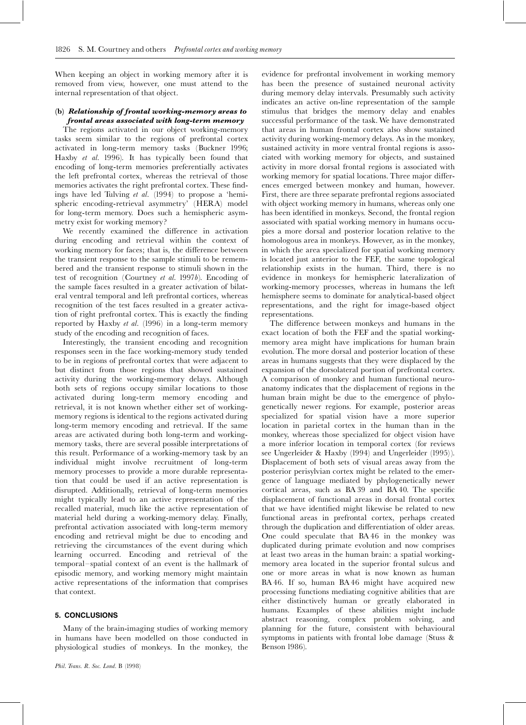When keeping an object in working memory after it is removed from view, however, one must attend to the internal representation of that object.

#### (b) Relationship of frontal working-memory areas to frontal areas associated with long-term memory

The regions activated in our object working-memory tasks seem similar to the regions of prefrontal cortex activated in long-term memory tasks (Buckner 1996; Haxby et al. 1996). It has typically been found that encoding of long-term memories preferentially activates the left prefrontal cortex, whereas the retrieval of those memories activates the right prefrontal cortex. These findings have led Tulving et al. (1994) to propose a 'hemispheric encoding-retrieval asymmetry' (HERA) model for long-term memory. Does such a hemispheric asymmetry exist for working memory?

We recently examined the difference in activation during encoding and retrieval within the context of working memory for faces; that is, the difference between the transient response to the sample stimuli to be remembered and the transient response to stimuli shown in the test of recognition (Courtney et al. 1997b). Encoding of the sample faces resulted in a greater activation of bilateral ventral temporal and left prefrontal cortices, whereas recognition of the test faces resulted in a greater activation of right prefrontal cortex. This is exactly the finding reported by Haxby et al. (1996) in a long-term memory study of the encoding and recognition of faces.

Interestingly, the transient encoding and recognition responses seen in the face working-memory study tended to be in regions of prefrontal cortex that were adjacent to but distinct from those regions that showed sustained activity during the working-memory delays. Although both sets of regions occupy similar locations to those activated during long-term memory encoding and retrieval, it is not known whether either set of workingmemory regions is identical to the regions activated during long-term memory encoding and retrieval. If the same areas are activated during both long-term and workingmemory tasks, there are several possible interpretations of this result. Performance of a working-memory task by an individual might involve recruitment of long-term memory processes to provide a more durable representation that could be used if an active representation is disrupted. Additionally, retrieval of long-term memories might typically lead to an active representation of the recalled material, much like the active representation of material held during a working-memory delay. Finally, prefrontal activation associated with long-term memory encoding and retrieval might be due to encoding and retrieving the circumstances of the event during which learning occurred. Encoding and retrieval of the temporal-spatial context of an event is the hallmark of episodic memory, and working memory might maintain active representations of the information that comprises that context.

#### 5. CONCLUSIONS

Many of the brain-imaging studies of working memory in humans have been modelled on those conducted in physiological studies of monkeys. In the monkey, the evidence for prefrontal involvement in working memory has been the presence of sustained neuronal activity during memory delay intervals. Presumably such activity indicates an active on-line representation of the sample stimulus that bridges the memory delay and enables successful performance of the task. We have demonstrated that areas in human frontal cortex also show sustained activity during working-memory delays. As in the monkey, sustained activity in more ventral frontal regions is associated with working memory for objects, and sustained activity in more dorsal frontal regions is associated with working memory for spatial locations. Three major differences emerged between monkey and human, however. First, there are three separate prefrontal regions associated with object working memory in humans, whereas only one has been identified in monkeys. Second, the frontal region associated with spatial working memory in humans occupies a more dorsal and posterior location relative to the homologous area in monkeys. However, as in the monkey, in which the area specialized for spatial working memory is located just anterior to the FEF, the same topological relationship exists in the human. Third, there is no evidence in monkeys for hemispheric lateralization of working-memory processes, whereas in humans the left hemisphere seems to dominate for analytical-based object representations, and the right for image-based object representations.

The difference between monkeys and humans in the exact location of both the FEF and the spatial workingmemory area might have implications for human brain evolution. The more dorsal and posterior location of these areas in humans suggests that they were displaced by the expansion of the dorsolateral portion of prefrontal cortex. A comparison of monkey and human functional neuroanatomy indicates that the displacement of regions in the human brain might be due to the emergence of phylogenetically newer regions. For example, posterior areas specialized for spatial vision have a more superior location in parietal cortex in the human than in the monkey, whereas those specialized for object vision have a more inferior location in temporal cortex (for reviews see Ungerleider & Haxby (1994) and Ungerleider (1995)). Displacement of both sets of visual areas away from the posterior perisylvian cortex might be related to the emergence of language mediated by phylogenetically newer cortical areas, such as BA 39 and BA 40. The specific displacement of functional areas in dorsal frontal cortex that we have identified might likewise be related to new functional areas in prefrontal cortex, perhaps created through the duplication and differentiation of older areas. One could speculate that BA 46 in the monkey was duplicated during primate evolution and now comprises at least two areas in the human brain: a spatial workingmemory area located in the superior frontal sulcus and one or more areas in what is now known as human BA 46. If so, human BA 46 might have acquired new processing functions mediating cognitive abilities that are either distinctively human or greatly elaborated in humans. Examples of these abilities might include abstract reasoning, complex problem solving, and planning for the future, consistent with behavioural symptoms in patients with frontal lobe damage (Stuss & Benson 1986).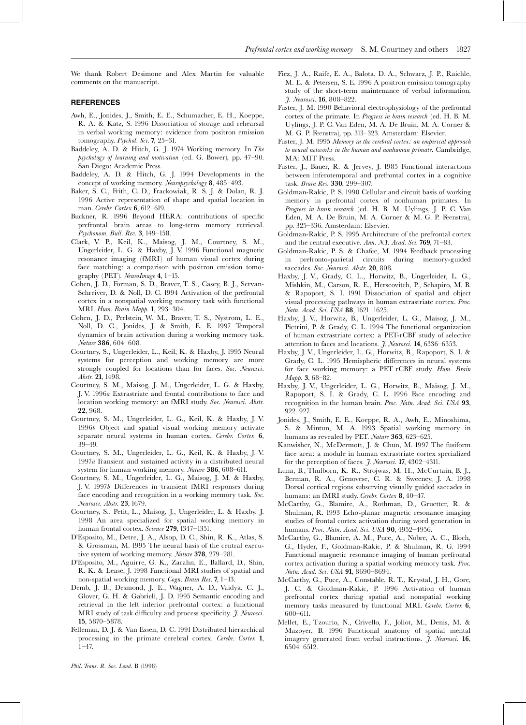We thank Robert Desimone and Alex Martin for valuable comments on the manuscript.

#### **REFERENCES**

- Awh, E., Jonides, J., Smith, E. E., Schumacher, E. H., Koeppe, R. A. & Katz, S. 1996 Dissociation of storage and rehearsal in verbal working memory: evidence from positron emission tomography. Psychol. Sci. 7, 25-31.
- Baddeley, A. D. & Hitch, G. J. 1974 Working memory. In The psychology of learning and motivation (ed. G. Bower), pp. 47-90. San Diego: Academic Press.
- Baddeley, A. D. & Hitch, G. J. 1994 Developments in the concept of working memory. Neuropsychology 8, 485-493.
- Baker, S. C., Frith, C. D., Frackowiak, R. S. J. & Dolan, R. J. 1996 Active representation of shape and spatial location in man. Cerebr. Cortex 6, 612-619.
- Buckner, R. 1996 Beyond HERA: contributions of specific prefrontal brain areas to long-term memory retrieval. Psychonom. Bull. Rev. 3, 149-158.
- Clark, V. P., Keil, K., Maisog, J. M., Courtney, S. M., Ungerleider, L. G. & Haxby, J. V. 1996 Functional magnetic resonance imaging (fMRI) of human visual cortex during face matching: a comparison with positron emission tomography (PET). NeuroImage  $4, 1-15$ .
- Cohen, J. D., Forman, S. D., Braver, T. S., Casey, B. J., Servan-Schreiver, D. & Noll, D. C. 1994 Activation of the prefrontal cortex in a nonspatial working memory task with functional MRI. Hum. Brain Mapp. 1, 293-304.
- Cohen, J. D., Perlstein, W. M., Braver, T. S., Nystrom, L. E., Noll, D. C., Jonides, J. & Smith, E. E. 1997 Temporal dynamics of brain activation during a working memory task. Nature 386, 604-608.
- Courtney, S., Ungerleider, L., Keil, K. & Haxby, J. 1995 Neural systems for perception and working memory are more strongly coupled for locations than for faces. Soc. Neurosci. *Abstr.* 21, 1498.
- Courtney, S. M., Maisog, J. M., Ungerleider, L. G. & Haxby, J. V. 1996a Extrastriate and frontal contributions to face and location working memory: an fMRI study. Soc. Neurosci. Abstr. 22.968.
- Courtney, S. M., Ungerleider, L. G., Keil, K. & Haxby, J. V. 1996b Object and spatial visual working memory activate separate neural systems in human cortex. Cerebr. Cortex 6,  $39 - 49.$
- Courtney, S. M., Ungerleider, L. G., Keil, K. & Haxby, J. V. 1997a Transient and sustained activity in a distributed neural system for human working memory. Nature 386, 608-611.
- Courtney, S. M., Ungerleider, L. G., Maisog, J. M. & Haxby, J.V. 1997b Differences in transient fMRI responses during face encoding and recognition in a working memory task. Soc. Neurosci. Abstr. 23, 1679.
- Courtney, S., Petit, L., Maisog, J., Ungerleider, L. & Haxby, J. 1998 An area specialized for spatial working memory in human frontal cortex. Science 279, 1347-1351.
- D'Esposito, M., Detre, J. A., Alsop, D. C., Shin, R. K., Atlas, S. & Grossman, M. 1995 The neural basis of the central executive system of working memory. Nature 378, 279-281.
- D'Esposito, M., Aguirre, G. K., Zarahn, E., Ballard, D., Shin, R. K. & Lease, J. 1998 Functional MRI studies of spatial and non-spatial working memory. Cogn. Brain Res. 7, 1-13.
- Demb, J. B., Desmond, J. E., Wagner, A. D., Vaidya, C. J., Glover, G. H. & Gabrieli, J. D. 1995 Semantic encoding and retrieval in the left inferior prefrontal cortex: a functional MRI study of task difficulty and process specificity. J. Neurosci. 15, 5870-5878.
- Felleman, D. J. & Van Essen, D. C. 1991 Distributed hierarchical processing in the primate cerebral cortex. Cerebr. Cortex 1,  $1 - 47$ .
- Fiez, J. A., Raife, E. A., Balota, D. A., Schwarz, J. P., Raichle, M. E. & Petersen, S. E. 1996 A positron emission tomography study of the short-term maintenance of verbal information. J. Neurosci. 16, 808-822.
- Fuster, J. M. 1990 Behavioral electrophysiology of the prefrontal cortex of the primate. In Progress in brain research (ed. H. B. M. Uylings, J. P. C. Van Eden, M. A. De Bruin, M. A. Corner & M. G. P. Feenstra), pp. 313-323. Amsterdam: Elsevier.
- Fuster, J. M. 1995 Memory in the cerebral cortex: an empirical approach to neural networks in the human and nonhuman primate. Cambridge, MA: MIT Press.
- Fuster, J., Bauer, R. & Jervey, J. 1985 Functional interactions between inferotemporal and prefrontal cortex in a cognitive task. Brain Res. 330, 299-307.
- Goldman-Rakic, P. S. 1990 Cellular and circuit basis of working memory in prefrontal cortex of nonhuman primates. In Progress in brain research (ed. H. B. M. Uylings, J. P. C. Van Eden, M. A. De Bruin, M. A. Corner & M. G. P. Feenstra), pp. 325-336. Amsterdam: Elsevier.
- Goldman-Rakic, P. S. 1995 Architecture of the prefrontal cortex and the central executive. Ann. N.Y. Acad. Sci. 769, 71-83.
- Goldman-Rakic, P. S. & Chafee, M. 1994 Feedback processing in prefronto-parietal circuits during memory-guided saccades. Soc. Neurosci. Abstr. 20, 808.
- Haxby, J. V., Grady, C. L., Horwitz, B., Ungerleider, L. G., Mishkin, M., Carson, R. E., Herscovitch, P., Schapiro, M. B. & Rapoport, S. I. 1991 Dissociation of spatial and object visual processing pathways in human extrastriate cortex. Proc. Natn. Acad. Sci. USA 88, 1621-1625.
- Haxby, J. V., Horwitz, B., Ungerleider, L. G., Maisog, J. M., Pietrini, P. & Grady, C. L. 1994 The functional organization of human extrastriate cortex: a PET-rCBF study of selective attention to faces and locations. *J. Neurosci*. **14**, 6336-6353.
- Haxby, J. V., Ungerleider, L. G., Horwitz, B., Rapoport, S. I. & Grady, C. L. 1995 Hemispheric differences in neural systems for face working memory: a PET rCBF study. Hum. Brain Марр. 3, 68-82.
- Haxby, J. V., Ungerleider, L. G., Horwitz, B., Maisog, J. M., Rapoport, S. I. & Grady, C. L. 1996 Face encoding and recognition in the human brain. Proc. Natn. Acad. Sci. USA 93,  $922 - 927$ .
- Jonides, J., Smith, E. E., Koeppe, R. A., Awh, E., Minoshima, S. & Mintun, M. A. 1993 Spatial working memory in humans as revealed by PET. Nature 363, 623-625.
- Kanwisher, N., McDermott, J. & Chun, M. 1997 The fusiform face area: a module in human extrastriate cortex specialized for the perception of faces. *J. Neurosci*. 17, 4302-4311.
- Luna, B., Thulborn, K. R., Strojwas, M. H., McCurtain, B. J., Berman, R. A., Genovese, C. R. & Sweeney, J. A. 1998 Dorsal cortical regions subserving visually guided saccades in humans: an fMRI study. Cerebr. Cortex 8, 40-47.
- McCarthy, G., Blamire, A., Rothman, D., Gruetter, R. & Shulman, R. 1993 Echo-planar magnetic resonance imaging studies of frontal cortex activation during word generation in humans. Proc. Natn. Acad. Sci. USA 90, 4952-4956.
- McCarthy, G., Blamire, A. M., Puce, A., Nobre, A. C., Bloch, G., Hyder, F., Goldman-Rakic, P. & Shulman, R. G. 1994 Functional magnetic resonance imaging of human prefrontal cortex activation during a spatial working memory task. Proc. Natn. Acad. Sci. USA 91, 8690-8694.
- McCarthy, G., Puce, A., Constable, R. T., Krystal, J. H., Gore, J. C. & Goldman-Rakic, P. 1996 Activation of human prefrontal cortex during spatial and nonspatial working memory tasks measured by functional MRI. Cerebr. Cortex 6,  $600 - 611$
- Mellet, E., Tzourio, N., Crivello, F., Joliot, M., Denis, M. & Mazoyer, B. 1996 Functional anatomy of spatial mental imagery generated from verbal instructions. J. Neurosci. 16, 6504-6512.